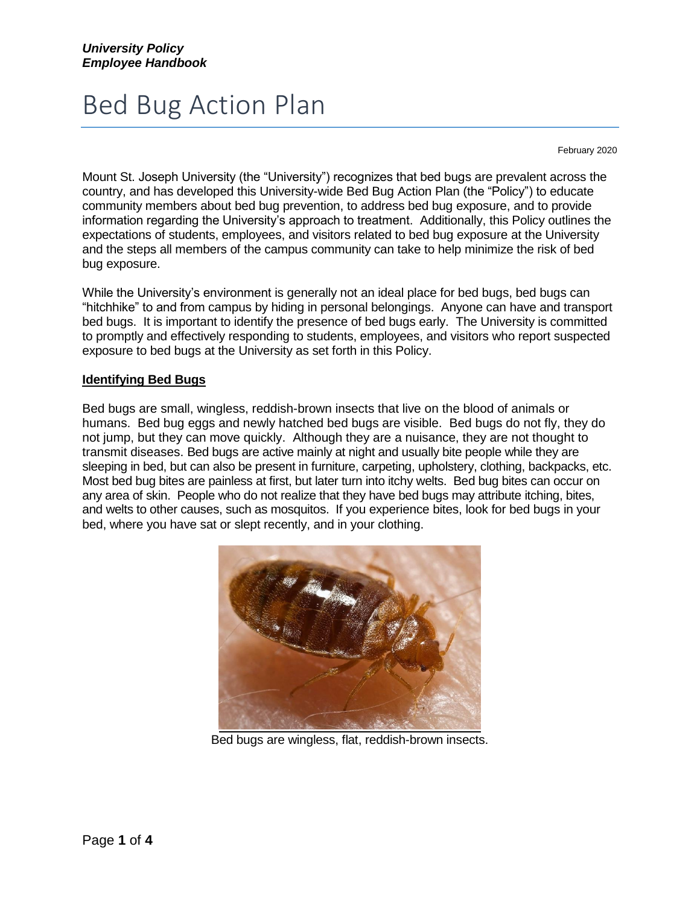# Bed Bug Action Plan

February 2020

Mount St. Joseph University (the "University") recognizes that bed bugs are prevalent across the country, and has developed this University-wide Bed Bug Action Plan (the "Policy") to educate community members about bed bug prevention, to address bed bug exposure, and to provide information regarding the University's approach to treatment. Additionally, this Policy outlines the expectations of students, employees, and visitors related to bed bug exposure at the University and the steps all members of the campus community can take to help minimize the risk of bed bug exposure.

While the University's environment is generally not an ideal place for bed bugs, bed bugs can "hitchhike" to and from campus by hiding in personal belongings. Anyone can have and transport bed bugs. It is important to identify the presence of bed bugs early. The University is committed to promptly and effectively responding to students, employees, and visitors who report suspected exposure to bed bugs at the University as set forth in this Policy.

## **Identifying Bed Bugs**

Bed bugs are small, wingless, reddish-brown insects that live on the blood of animals or humans. Bed bug eggs and newly hatched bed bugs are visible. Bed bugs do not fly, they do not jump, but they can move quickly. Although they are a nuisance, they are not thought to transmit diseases. Bed bugs are active mainly at night and usually bite people while they are sleeping in bed, but can also be present in furniture, carpeting, upholstery, clothing, backpacks, etc. Most bed bug bites are painless at first, but later turn into itchy welts. Bed bug bites can occur on any area of skin. People who do not realize that they have bed bugs may attribute itching, bites, and welts to other causes, such as mosquitos. If you experience bites, look for bed bugs in your bed, where you have sat or slept recently, and in your clothing.



Bed bugs are wingless, flat, reddish-brown insects.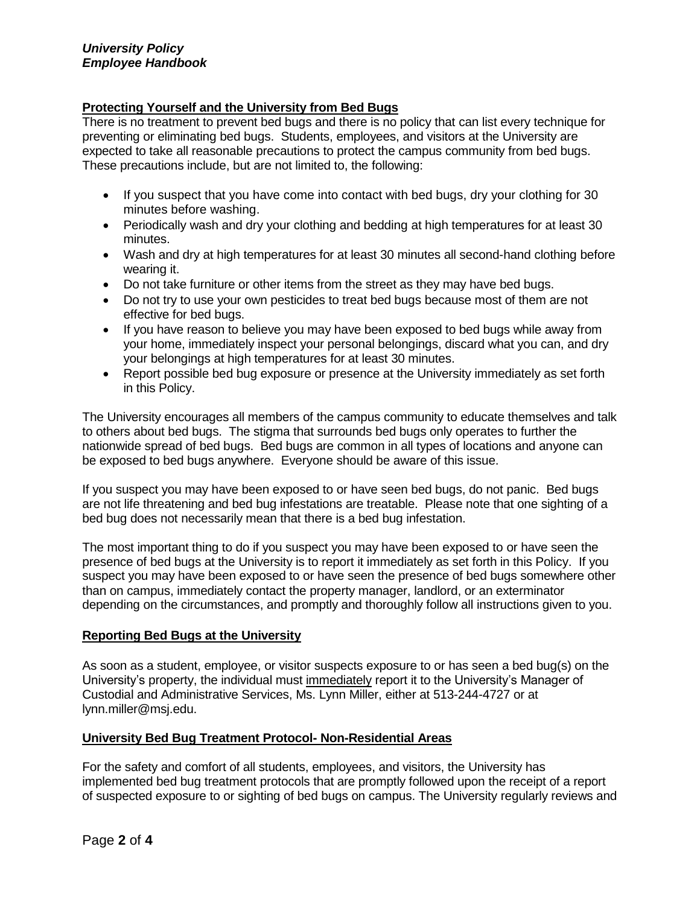#### *University Policy Employee Handbook*

## **Protecting Yourself and the University from Bed Bugs**

There is no treatment to prevent bed bugs and there is no policy that can list every technique for preventing or eliminating bed bugs. Students, employees, and visitors at the University are expected to take all reasonable precautions to protect the campus community from bed bugs. These precautions include, but are not limited to, the following:

- If you suspect that you have come into contact with bed bugs, dry your clothing for 30 minutes before washing.
- Periodically wash and dry your clothing and bedding at high temperatures for at least 30 minutes.
- Wash and dry at high temperatures for at least 30 minutes all second-hand clothing before wearing it.
- Do not take furniture or other items from the street as they may have bed bugs.
- Do not try to use your own pesticides to treat bed bugs because most of them are not effective for bed bugs.
- If you have reason to believe you may have been exposed to bed bugs while away from your home, immediately inspect your personal belongings, discard what you can, and dry your belongings at high temperatures for at least 30 minutes.
- Report possible bed bug exposure or presence at the University immediately as set forth in this Policy.

The University encourages all members of the campus community to educate themselves and talk to others about bed bugs. The stigma that surrounds bed bugs only operates to further the nationwide spread of bed bugs. Bed bugs are common in all types of locations and anyone can be exposed to bed bugs anywhere. Everyone should be aware of this issue.

If you suspect you may have been exposed to or have seen bed bugs, do not panic. Bed bugs are not life threatening and bed bug infestations are treatable. Please note that one sighting of a bed bug does not necessarily mean that there is a bed bug infestation.

The most important thing to do if you suspect you may have been exposed to or have seen the presence of bed bugs at the University is to report it immediately as set forth in this Policy. If you suspect you may have been exposed to or have seen the presence of bed bugs somewhere other than on campus, immediately contact the property manager, landlord, or an exterminator depending on the circumstances, and promptly and thoroughly follow all instructions given to you.

## **Reporting Bed Bugs at the University**

As soon as a student, employee, or visitor suspects exposure to or has seen a bed bug(s) on the University's property, the individual must immediately report it to the University's Manager of Custodial and Administrative Services, Ms. Lynn Miller, either at 513-244-4727 or at lynn.miller@msj.edu.

## **University Bed Bug Treatment Protocol- Non-Residential Areas**

For the safety and comfort of all students, employees, and visitors, the University has implemented bed bug treatment protocols that are promptly followed upon the receipt of a report of suspected exposure to or sighting of bed bugs on campus. The University regularly reviews and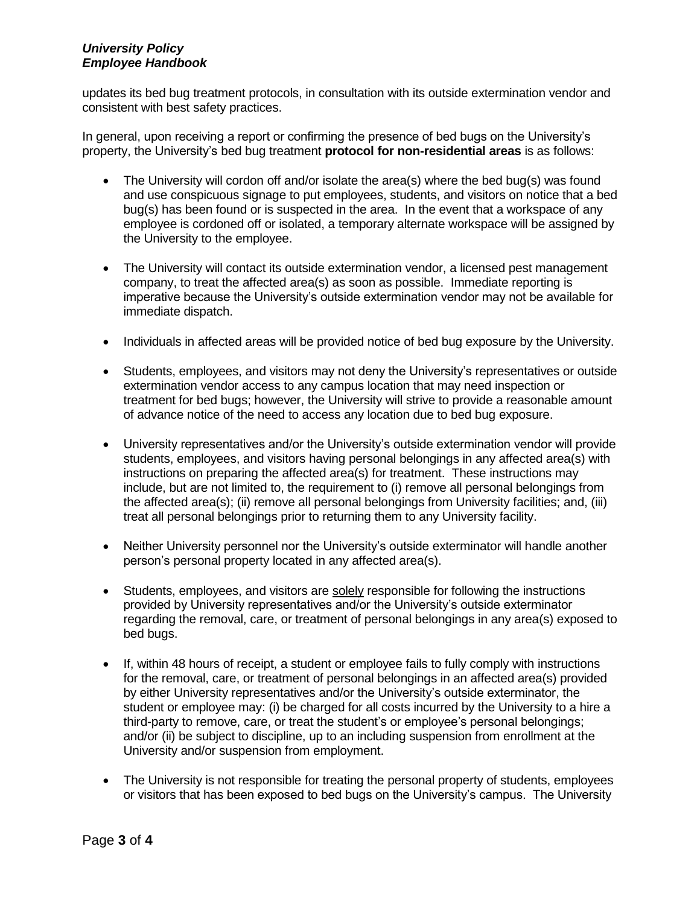### *University Policy Employee Handbook*

updates its bed bug treatment protocols, in consultation with its outside extermination vendor and consistent with best safety practices.

In general, upon receiving a report or confirming the presence of bed bugs on the University's property, the University's bed bug treatment **protocol for non-residential areas** is as follows:

- The University will cordon off and/or isolate the area(s) where the bed bug(s) was found and use conspicuous signage to put employees, students, and visitors on notice that a bed bug(s) has been found or is suspected in the area. In the event that a workspace of any employee is cordoned off or isolated, a temporary alternate workspace will be assigned by the University to the employee.
- The University will contact its outside extermination vendor, a licensed pest management company, to treat the affected area(s) as soon as possible. Immediate reporting is imperative because the University's outside extermination vendor may not be available for immediate dispatch.
- Individuals in affected areas will be provided notice of bed bug exposure by the University.
- Students, employees, and visitors may not deny the University's representatives or outside extermination vendor access to any campus location that may need inspection or treatment for bed bugs; however, the University will strive to provide a reasonable amount of advance notice of the need to access any location due to bed bug exposure.
- University representatives and/or the University's outside extermination vendor will provide students, employees, and visitors having personal belongings in any affected area(s) with instructions on preparing the affected area(s) for treatment. These instructions may include, but are not limited to, the requirement to (i) remove all personal belongings from the affected area(s); (ii) remove all personal belongings from University facilities; and, (iii) treat all personal belongings prior to returning them to any University facility.
- Neither University personnel nor the University's outside exterminator will handle another person's personal property located in any affected area(s).
- Students, employees, and visitors are solely responsible for following the instructions provided by University representatives and/or the University's outside exterminator regarding the removal, care, or treatment of personal belongings in any area(s) exposed to bed bugs.
- If, within 48 hours of receipt, a student or employee fails to fully comply with instructions for the removal, care, or treatment of personal belongings in an affected area(s) provided by either University representatives and/or the University's outside exterminator, the student or employee may: (i) be charged for all costs incurred by the University to a hire a third-party to remove, care, or treat the student's or employee's personal belongings; and/or (ii) be subject to discipline, up to an including suspension from enrollment at the University and/or suspension from employment.
- The University is not responsible for treating the personal property of students, employees or visitors that has been exposed to bed bugs on the University's campus. The University